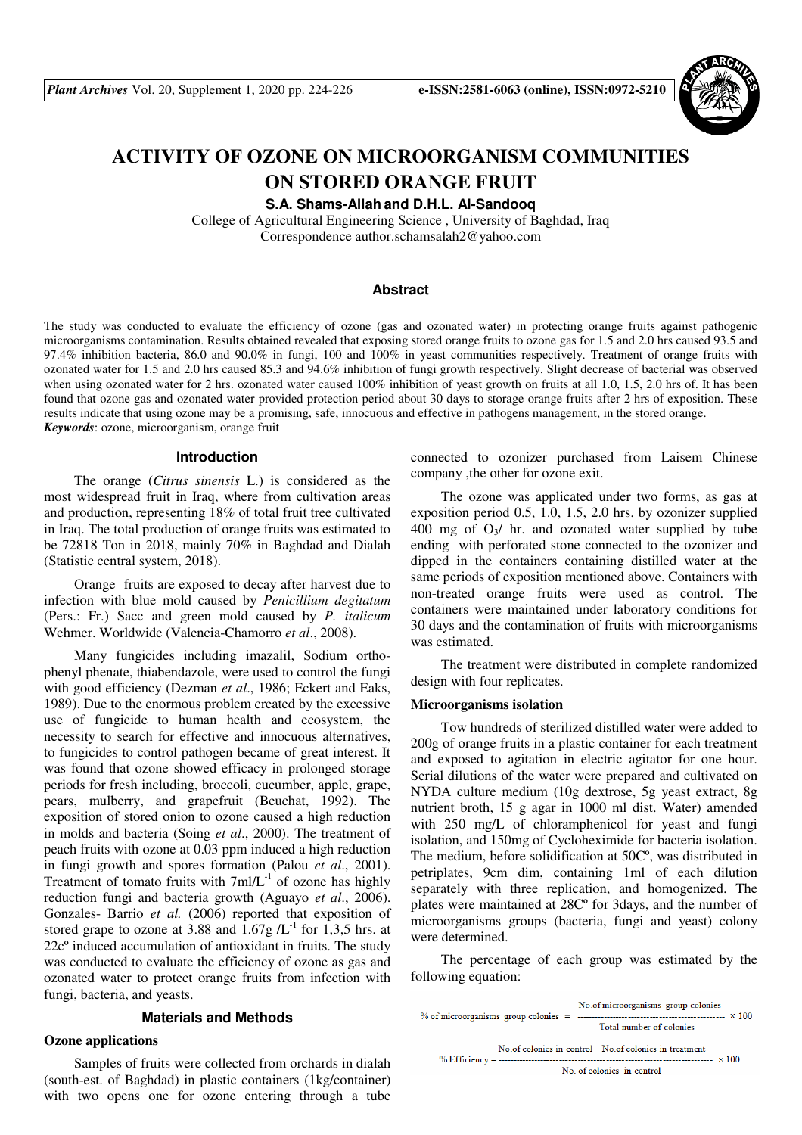

# **ACTIVITY OF OZONE ON MICROORGANISM COMMUNITIES ON STORED ORANGE FRUIT**

**S.A. Shams-Allah and D.H.L. Al-Sandooq** 

College of Agricultural Engineering Science , University of Baghdad, Iraq Correspondence author.schamsalah2@yahoo.com

### **Abstract**

The study was conducted to evaluate the efficiency of ozone (gas and ozonated water) in protecting orange fruits against pathogenic microorganisms contamination. Results obtained revealed that exposing stored orange fruits to ozone gas for 1.5 and 2.0 hrs caused 93.5 and 97.4% inhibition bacteria, 86.0 and 90.0% in fungi, 100 and 100% in yeast communities respectively. Treatment of orange fruits with ozonated water for 1.5 and 2.0 hrs caused 85.3 and 94.6% inhibition of fungi growth respectively. Slight decrease of bacterial was observed when using ozonated water for 2 hrs. ozonated water caused 100% inhibition of yeast growth on fruits at all 1.0, 1.5, 2.0 hrs of. It has been found that ozone gas and ozonated water provided protection period about 30 days to storage orange fruits after 2 hrs of exposition. These results indicate that using ozone may be a promising, safe, innocuous and effective in pathogens management, in the stored orange. *Keywords*: ozone, microorganism, orange fruit

#### **Introduction**

The orange (*Citrus sinensis* L.) is considered as the most widespread fruit in Iraq, where from cultivation areas and production, representing 18% of total fruit tree cultivated in Iraq. The total production of orange fruits was estimated to be 72818 Ton in 2018, mainly 70% in Baghdad and Dialah (Statistic central system, 2018).

Orange fruits are exposed to decay after harvest due to infection with blue mold caused by *Penicillium degitatum* (Pers.: Fr.) Sacc and green mold caused by *P. italicum* Wehmer. Worldwide (Valencia-Chamorro *et al*., 2008).

Many fungicides including imazalil, Sodium orthophenyl phenate, thiabendazole, were used to control the fungi with good efficiency (Dezman *et al*., 1986; Eckert and Eaks, 1989). Due to the enormous problem created by the excessive use of fungicide to human health and ecosystem, the necessity to search for effective and innocuous alternatives, to fungicides to control pathogen became of great interest. It was found that ozone showed efficacy in prolonged storage periods for fresh including, broccoli, cucumber, apple, grape, pears, mulberry, and grapefruit (Beuchat, 1992). The exposition of stored onion to ozone caused a high reduction in molds and bacteria (Soing *et al*., 2000). The treatment of peach fruits with ozone at 0.03 ppm induced a high reduction in fungi growth and spores formation (Palou *et al*., 2001). Treatment of tomato fruits with  $7m/L^{-1}$  of ozone has highly reduction fungi and bacteria growth (Aguayo *et al*., 2006). Gonzales- Barrio *et al.* (2006) reported that exposition of stored grape to ozone at 3.88 and  $1.67g/L^{-1}$  for 1,3,5 hrs. at 22cº induced accumulation of antioxidant in fruits. The study was conducted to evaluate the efficiency of ozone as gas and ozonated water to protect orange fruits from infection with fungi, bacteria, and yeasts.

#### **Materials and Methods**

# **Ozone applications**

Samples of fruits were collected from orchards in dialah (south-est. of Baghdad) in plastic containers (1kg/container) with two opens one for ozone entering through a tube

connected to ozonizer purchased from Laisem Chinese company ,the other for ozone exit.

The ozone was applicated under two forms, as gas at exposition period 0.5, 1.0, 1.5, 2.0 hrs. by ozonizer supplied 400 mg of  $O_3$  hr. and ozonated water supplied by tube ending with perforated stone connected to the ozonizer and dipped in the containers containing distilled water at the same periods of exposition mentioned above. Containers with non-treated orange fruits were used as control. The containers were maintained under laboratory conditions for 30 days and the contamination of fruits with microorganisms was estimated.

The treatment were distributed in complete randomized design with four replicates.

#### **Microorganisms isolation**

Tow hundreds of sterilized distilled water were added to 200g of orange fruits in a plastic container for each treatment and exposed to agitation in electric agitator for one hour. Serial dilutions of the water were prepared and cultivated on NYDA culture medium (10g dextrose, 5g yeast extract, 8g nutrient broth, 15 g agar in 1000 ml dist. Water) amended with 250 mg/L of chloramphenicol for yeast and fungi isolation, and 150mg of Cycloheximide for bacteria isolation. The medium, before solidification at 50Cº, was distributed in petriplates, 9cm dim, containing 1ml of each dilution separately with three replication, and homogenized. The plates were maintained at 28Cº for 3days, and the number of microorganisms groups (bacteria, fungi and yeast) colony were determined.

The percentage of each group was estimated by the following equation:

| Total number of colonies                                                              | No.of microorganisms group colonies |
|---------------------------------------------------------------------------------------|-------------------------------------|
| No of colonies in control – No of colonies in treatment<br>No. of colonies in control |                                     |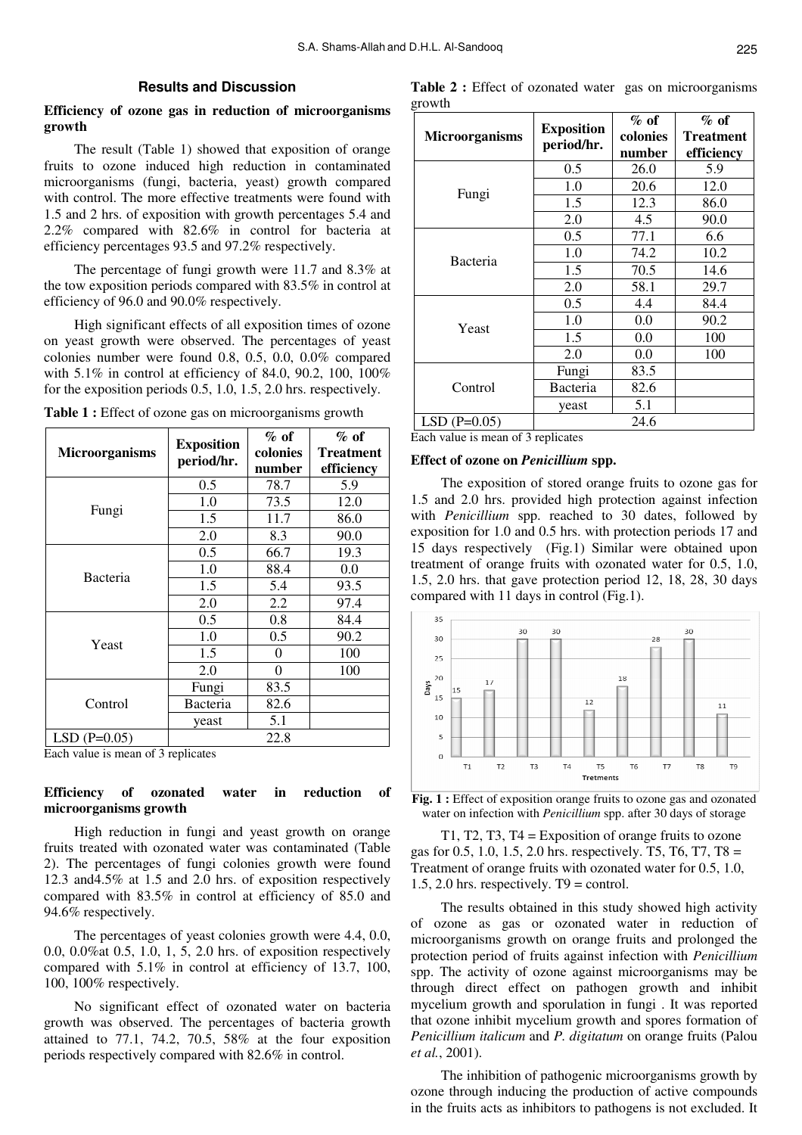# **Results and Discussion**

# **Efficiency of ozone gas in reduction of microorganisms growth**

The result (Table 1) showed that exposition of orange fruits to ozone induced high reduction in contaminated microorganisms (fungi, bacteria, yeast) growth compared with control. The more effective treatments were found with 1.5 and 2 hrs. of exposition with growth percentages 5.4 and 2.2% compared with 82.6% in control for bacteria at efficiency percentages 93.5 and 97.2% respectively.

The percentage of fungi growth were 11.7 and 8.3% at the tow exposition periods compared with 83.5% in control at efficiency of 96.0 and 90.0% respectively.

High significant effects of all exposition times of ozone on yeast growth were observed. The percentages of yeast colonies number were found 0.8, 0.5, 0.0, 0.0% compared with 5.1% in control at efficiency of 84.0, 90.2, 100, 100% for the exposition periods 0.5, 1.0, 1.5, 2.0 hrs. respectively.

|                                    | <b>Exposition</b> | $\%$ of            | $\%$ of          |  |  |
|------------------------------------|-------------------|--------------------|------------------|--|--|
| <b>Microorganisms</b>              | period/hr.        | colonies<br>number | <b>Treatment</b> |  |  |
|                                    |                   |                    | efficiency       |  |  |
|                                    | 0.5               | 78.7               | 5.9              |  |  |
| Fungi                              | 1.0               | 73.5               | 12.0             |  |  |
|                                    | 1.5               | 11.7               | 86.0             |  |  |
|                                    | 2.0               | 8.3                | 90.0             |  |  |
|                                    | 0.5               | 66.7               | 19.3             |  |  |
| Bacteria                           | 1.0               | 88.4               | 0.0              |  |  |
|                                    | 1.5               | 5.4                | 93.5             |  |  |
|                                    | 2.0               | 2.2                | 97.4             |  |  |
| Yeast                              | 0.5               | 0.8                | 84.4             |  |  |
|                                    | 1.0               | 0.5                | 90.2             |  |  |
|                                    | 1.5               | 0                  | 100              |  |  |
|                                    | 2.0               | 0                  | 100              |  |  |
|                                    | Fungi             | 83.5               |                  |  |  |
| Control                            | Bacteria          | 82.6               |                  |  |  |
|                                    | yeast             | 5.1                |                  |  |  |
| $LSD(P=0.05)$                      |                   | 22.8               |                  |  |  |
| Each value is mean of 3 replicates |                   |                    |                  |  |  |

| Table 1 : Effect of ozone gas on microorganisms growth |  |  |  |
|--------------------------------------------------------|--|--|--|
|                                                        |  |  |  |

Each value is mean of 3 replicates

# **Efficiency of ozonated water in reduction of microorganisms growth**

High reduction in fungi and yeast growth on orange fruits treated with ozonated water was contaminated (Table 2). The percentages of fungi colonies growth were found 12.3 and4.5% at 1.5 and 2.0 hrs. of exposition respectively compared with 83.5% in control at efficiency of 85.0 and 94.6% respectively.

The percentages of yeast colonies growth were 4.4, 0.0, 0.0, 0.0%at 0.5, 1.0, 1, 5, 2.0 hrs. of exposition respectively compared with 5.1% in control at efficiency of 13.7, 100, 100, 100% respectively.

No significant effect of ozonated water on bacteria growth was observed. The percentages of bacteria growth attained to 77.1, 74.2, 70.5, 58% at the four exposition periods respectively compared with 82.6% in control.

| <b>Table 2:</b> Effect of ozonated water gas on microorganisms |  |
|----------------------------------------------------------------|--|
| growth                                                         |  |

| <b>Microorganisms</b> | <b>Exposition</b><br>period/hr. | $%$ of<br>colonies<br>number | $\%$ of<br><b>Treatment</b><br>efficiency |
|-----------------------|---------------------------------|------------------------------|-------------------------------------------|
| Fungi                 | 0.5                             | 26.0                         | 5.9                                       |
|                       | 1.0                             | 20.6                         | 12.0                                      |
|                       | 1.5                             | 12.3                         | 86.0                                      |
|                       | 2.0                             | 4.5                          | 90.0                                      |
| Bacteria              | 0.5                             | 77.1                         | 6.6                                       |
|                       | 1.0                             | 74.2                         | 10.2                                      |
|                       | 1.5                             | 70.5                         | 14.6                                      |
|                       | 2.0                             | 58.1                         | 29.7                                      |
| Yeast                 | 0.5                             | 4.4                          | 84.4                                      |
|                       | 1.0                             | 0.0                          | 90.2                                      |
|                       | 1.5                             | 0.0                          | 100                                       |
|                       | 2.0                             | $0.0\,$                      | 100                                       |
| Control               | Fungi                           | 83.5                         |                                           |
|                       | Bacteria                        | 82.6                         |                                           |
|                       | yeast                           | 5.1                          |                                           |
| $LSD(P=0.05)$         |                                 | 24.6                         |                                           |

Each value is mean of 3 replicates

#### **Effect of ozone on** *Penicillium* **spp.**

The exposition of stored orange fruits to ozone gas for 1.5 and 2.0 hrs. provided high protection against infection with *Penicillium* spp. reached to 30 dates, followed by exposition for 1.0 and 0.5 hrs. with protection periods 17 and 15 days respectively (Fig.1) Similar were obtained upon treatment of orange fruits with ozonated water for 0.5, 1.0, 1.5, 2.0 hrs. that gave protection period 12, 18, 28, 30 days compared with 11 days in control (Fig.1).



**Fig. 1 :** Effect of exposition orange fruits to ozone gas and ozonated water on infection with *Penicillium* spp. after 30 days of storage

T1, T2, T3, T4 = Exposition of orange fruits to ozone gas for 0.5, 1.0, 1.5, 2.0 hrs. respectively. T5, T6, T7, T8 = Treatment of orange fruits with ozonated water for 0.5, 1.0, 1.5, 2.0 hrs. respectively.  $T9 =$  control.

The results obtained in this study showed high activity of ozone as gas or ozonated water in reduction of microorganisms growth on orange fruits and prolonged the protection period of fruits against infection with *Penicillium* spp. The activity of ozone against microorganisms may be through direct effect on pathogen growth and inhibit mycelium growth and sporulation in fungi . It was reported that ozone inhibit mycelium growth and spores formation of *Penicillium italicum* and *P. digitatum* on orange fruits (Palou *et al.*, 2001).

The inhibition of pathogenic microorganisms growth by ozone through inducing the production of active compounds in the fruits acts as inhibitors to pathogens is not excluded. It